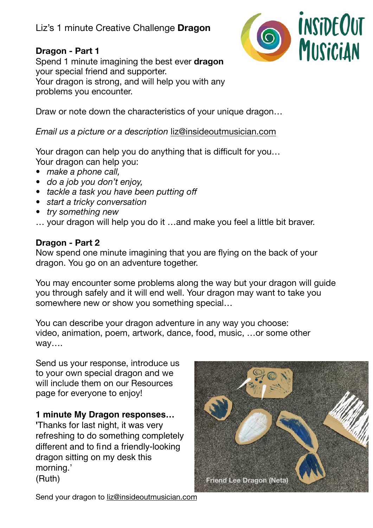# Liz's 1 minute Creative Challenge **Dragon**

### **Dragon - Part 1**

Spend 1 minute imagining the best ever **dragon** your special friend and supporter. Your dragon is strong, and will help you with any problems you encounter.



Draw or note down the characteristics of your unique dragon…

*Email us a picture or a description* [liz@insideoutmusician.com](mailto:liz@insideoutmusician.com)

Your dragon can help you do anything that is difficult for you… Your dragon can help you:

- *• make a phone call,*
- *• do a job you don't enjoy,*
- *• tackle a task you have been putting off*
- *• start a tricky conversation*
- *• try something new*
- … your dragon will help you do it …and make you feel a little bit braver.

#### **Dragon - Part 2**

Now spend one minute imagining that you are flying on the back of your dragon. You go on an adventure together.

You may encounter some problems along the way but your dragon will guide you through safely and it will end well. Your dragon may want to take you somewhere new or show you something special…

You can describe your dragon adventure in any way you choose: video, animation, poem, artwork, dance, food, music, …or some other way….

Send us your response, introduce us to your own special dragon and we will include them on our Resources page for everyone to enjoy!

#### **1 minute My Dragon responses…**

**'**Thanks for last night, it was very refreshing to do something completely different and to find a friendly-looking dragon sitting on my desk this morning.' (Ruth)



Send your dragon to [liz@insideoutmusician.com](mailto:liz@insideoutmusician.com)